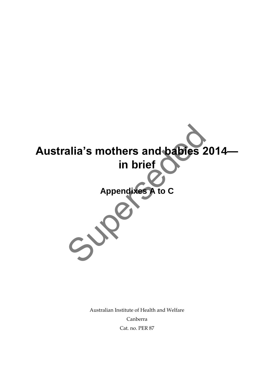

Australian Institute of Health and Welfare Canberra Cat. no. PER 87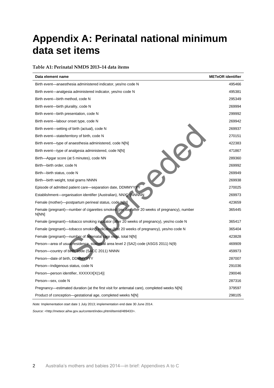# **Appendix A: Perinatal national minimum data set items**

#### **Table A1: Perinatal NMDS 2013–14 data items**

| Data element name                                                                                    | <b>METeOR</b> identifier |
|------------------------------------------------------------------------------------------------------|--------------------------|
| Birth event—anaesthesia administered indicator, yes/no code N                                        | 495466                   |
| Birth event—analgesia administered indicator, yes/no code N                                          | 495381                   |
| Birth event-birth method, code N                                                                     | 295349                   |
| Birth event-birth plurality, code N                                                                  | 269994                   |
| Birth event—birth presentation, code N                                                               | 299992                   |
| Birth event—labour onset type, code N                                                                | 269942                   |
| Birth event—setting of birth (actual), code N                                                        | 269937                   |
| Birth event—state/territory of birth, code N                                                         | 270151                   |
| Birth event—type of anaesthesia administered, code N[N]                                              | 422383                   |
| Birth event—type of analgesia administered, code N[N]                                                | 471867                   |
| Birth—Apgar score (at 5 minutes), code NN                                                            | 289360                   |
| Birth-birth order, code N                                                                            | 269992                   |
| Birth--birth status, code N                                                                          | 269949                   |
| Birth-birth weight, total grams NNNN                                                                 | 269938                   |
| Episode of admitted patient care-separation date, DDMMYYYY                                           | 270025                   |
| Establishment-organisation identifier (Australian), NNX[X]NNNNN                                      | 269973                   |
| Female (mother)—postpartum perineal status, code N[N]                                                | 423659                   |
| Female (pregnant)—number of cigarettes smoked (per day after 20 weeks of pregnancy), number<br>N[NN] | 365445                   |
| Female (pregnant)-tobacco smoking indicator (after 20 weeks of pregnancy), yes/no code N             | 365417                   |
| Female (pregnant)—tobacco smoking indicator (first 20 weeks of pregnancy), yes/no code N             | 365404                   |
| Female (pregnant)-number of antenatal care visits, total N[N]                                        | 423828                   |
| Person—area of usual residence, statistical area level 2 (SA2) code (ASGS 2011) N(9)                 | 469909                   |
| Person-country of birth, code (SACC 2011) NNNN                                                       | 459973                   |
| Person-date of birth, DDMMYYYY                                                                       | 287007                   |
| Person-Indigenous status, code N                                                                     | 291036                   |
| Person-person identifier, XXXXXX[X(14)]                                                              | 290046                   |
| Person-sex, code N                                                                                   | 287316                   |
| Pregnancy—estimated duration (at the first visit for antenatal care), completed weeks N[N]           | 379597                   |
| Product of conception—gestational age, completed weeks N[N]                                          | 298105                   |

*Note:* Implementation start date 1 July 2013; implementation end date 30 June 2014.

*Source:* <http://meteor.aihw.gov.au/content/index.phtml/itemId/489433>.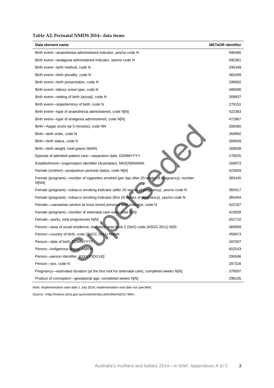#### **Table A2: Perinatal NMDS 2014– data items**

| Data element name                                                                                    | <b>METeOR</b> identifier |
|------------------------------------------------------------------------------------------------------|--------------------------|
| Birth event—anaesthesia administered indicator, yes/no code N                                        | 495466                   |
| Birth event—analgesia administered indicator, yes/no code N                                          | 495381                   |
| Birth event—birth method, code N                                                                     | 295349                   |
| Birth event-birth plurality, code N                                                                  | 482409                   |
| Birth event—birth presentation, code N                                                               | 299992                   |
| Birth event—labour onset type, code N                                                                | 495690                   |
| Birth event—setting of birth (actual), code N                                                        | 269937                   |
| Birth event-state/territory of birth, code N                                                         | 270151                   |
| Birth event—type of anaesthesia administered, code N[N]                                              | 422383                   |
| Birth event—type of analgesia administered, code N[N]                                                | 471867                   |
| Birth—Apgar score (at 5 minutes), code NN                                                            | 289360                   |
| Birth-birth order, code N                                                                            | 269992                   |
| Birth--birth status, code N                                                                          | 269949                   |
| Birth—birth weight, total grams NNNN                                                                 | 269938                   |
| Episode of admitted patient care—separation date, DDMMYYYY                                           | 270025                   |
| Establishment-organisation identifier (Australian), NNX[X]NNNNN                                      | 269973                   |
| Female (mother)—postpartum perineal status, code N[N]                                                | 423659                   |
| Female (pregnant)-number of cigarettes smoked (per day after 20 weeks of pregnancy), number<br>N[NN] | 365445                   |
| Female (pregnant)—tobacco smoking indicator (after 20 weeks of pregnancy), yes/no code N             | 365417                   |
| Female (pregnant)—tobacco smoking indicator (first 20 weeks of pregnancy), yes/no code N             | 365404                   |
| Female-caesarean section at most recent previous birth indicator, code N                             | 422187                   |
| Female (pregnant)—number of antenatal care visits, total N[N]                                        | 423828                   |
| Female-parity, total pregnancies N[N]                                                                | 501710                   |
| Person—area of usual residence, statistical area level 2 (SA2) code (ASGS 2011) N(9)                 | 469909                   |
| Person-country of birth, code (SACC 2011) NNNN                                                       | 459973                   |
| Person-date of birth, DDMMYYYY                                                                       | 287007                   |
| Person-Indigenous status, code N                                                                     | 602543                   |
| Person-person identifier, XXXXXX[X(14)]                                                              | 290046                   |
| Person-sex, code N                                                                                   | 287316                   |
| Pregnancy—estimated duration (at the first visit for antenatal care), completed weeks N[N]           | 379597                   |
| Product of conception—gestational age, completed weeks N[N]                                          | 298105                   |

*Note:* Implementation start date 1 July 2014; implementation end date not specified.

*Source:* <http://meteor.aihw.gov.au/content/index.phtml/itemId/517456>.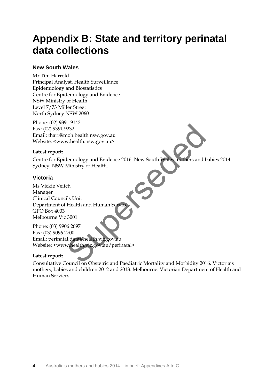# **Appendix B: State and territory perinatal data collections**

### **New South Wales**

Mr Tim Harrold Principal Analyst, Health Surveillance Epidemiology and Biostatistics Centre for Epidemiology and Evidence NSW Ministry of Health Level 7/73 Miller Street North Sydney NSW 2060

Phone: (02) 9391 9142 Fax: (02) 9391 9232 Email: tharr@moh.health.nsw.gov.au Website: <www.health.nsw.gov.au>

### **Latest report:**

Centre for Epidemiology and Evidence 2016. New South Wales mothers and babies 2014. Sydney: NSW Ministry of Health.

### **Victoria**

Ms Vickie Veitch Manager Clinical Councils Unit Department of Health and Human Servic GPO Box 4003 Melbourne Vic 3001 France<br>
Ministry of Health.<br>
Ministry of Health.<br>
Ministry of Health.<br>
Ch<br>
this Unit<br>
Health and Human Service<br>
3001<br>
16 2697<br>
2700<br>
Al.data@health.vic.gov.au/perinatal><br>
council on Obstetric and Paediatric Mortality and M

Phone: (03) 9906 2697 Fax: (03) 9096 2700 Email: perinatal.data@health.vic.gov.au Website: <www.health.vic.gov.au/perinatal>

### **Latest report:**

Consultative Council on Obstetric and Paediatric Mortality and Morbidity 2016. Victoria's mothers, babies and children 2012 and 2013. Melbourne: Victorian Department of Health and Human Services.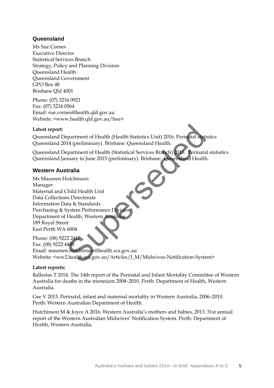### **Queensland**

Ms Sue Cornes Executive Director Statistical Services Branch Strategy, Policy and Planning Division Queensland Health Queensland Government  $GPO$  Box 48 Brisbane Qld 4001

Phone: (07) 3234 0921 Fax: (07) 3234 0564 Email: sue.cornes@health.qld.gov.au Website: <www.health.qld.gov.au/hsu>

### **Latest report:**

Queensland Department of Health (Health Statistics Unit) 2016. Perinatal statistics Queensland 2014 (preliminary). Brisbane: Queensland Health.

Queensland Department of Health (Statistical Services Branch) 2016. Perinatal statistics Queensland January to June 2015 (preliminary). Brisbane: Queensland Health.

### **Western Australia**

Ms Maureen Hutchinson Manager Maternal and Child Health Unit Data Collections Directorate Information Data & Standards Purchasing & System Performance Division Department of Health, Western Australi 189 Royal Street East Perth WA 6004 Expariment of Health (Health Statistics Unit) 2016. Perinatal stati<br>14 (preliminary). Brisbane: Queensland Health.<br>Expariment of Health (Statistical Services Branch) 2016. Perinata<br>nuary to June 2015 (preliminary). Brisban

Phone: (08) 9222 2417 Fax: (08) 9222 4408 Email: maureen.hutchinson@health.wa.gov.au Website: <ww2.health.wa.gov.au/Articles/J\_M/Midwives-Notification-System>

### **Latest reports:**

Ballestas T 2014. The 14th report of the Perinatal and Infant Mortality Committee of Western Australia for deaths in the triennium 2008–2010. Perth: Department of Health, Western Australia.

Gee V 2013. Perinatal, infant and maternal mortality in Western Australia, 2006–2010. Perth: Western Australian Department of Health.

Hutchinson M & Joyce A 2016. Western Australia's mothers and babies, 2013: 31st annual report of the Western Australian Midwives' Notification System. Perth: Department of Health, Western Australia.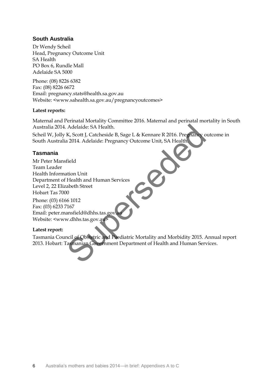### **South Australia**

Dr Wendy Scheil Head, Pregnancy Outcome Unit SA Health PO Box 6, Rundle Mall Adelaide SA 5000

Phone: (08) 8226 6382 Fax: (08) 8226 6672 Email: pregnancy.stats@health.sa.gov.au Website: <www.sahealth.sa.gov.au/pregnancyoutcomes>

### **Latest reports:**

Maternal and Perinatal Mortality Committee 2016. Maternal and perinatal mortality in South Australia 2014. Adelaide: SA Health.

Scheil W, Jolly K, Scott J, Catcheside B, Sage L & Kennare R 2016. Pregnancy outcome in South Australia 2014. Adelaide: Pregnancy Outcome Unit, SA Health.

### **Tasmania**

Mr Peter Mansfield Team Leader Health Information Unit Department of Health and Human Services Level 2, 22 Elizabeth Street Hobart Tas 7000 Phone: (03) 6166 1012 Fax: (03) 6233 7167 Email: peter.mansfield@dhhs.tas.gov Website: <www.dhhs.tas.gov.au> Adelaide: SA Health.<br>
K, Scott J, Catcheside B, Sage L & Kennare R 2016. Pregnancy<br>
a 2014. Adelaide: Pregnancy Outcome Unit, SA Health<br>
field<br>
ation Unit<br>
Health and Human Services<br>
abeth Street<br>
00<br>
66 1012<br>
as manian Go

### **Latest report:**

Tasmania Council of Obstetric and Paediatric Mortality and Morbidity 2015. Annual report 2013. Hobart: Tasmanian Government Department of Health and Human Services.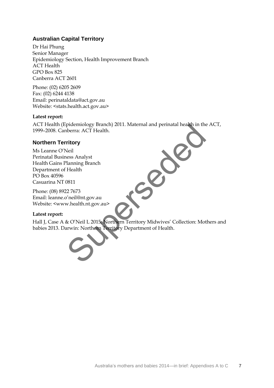### **Australian Capital Territory**

Dr Hai Phung Senior Manager Epidemiology Section, Health Improvement Branch ACT Health GPO Box 825 Canberra ACT 2601

Phone: (02) 6205 2609 Fax: (02) 6244 4138 Email: perinataldata@act.gov.au Website: <stats.health.act.gov.au>

### **Latest report:**

ACT Health (Epidemiology Branch) 2011. Maternal and perinatal health in the ACT, 1999–2008. Canberra: ACT Health.

### **Northern Territory**

Ms Leanne O'Neil Perinatal Business Analyst Health Gains Planning Branch Department of Health PO Box 40596 Casuarina NT 0811

Phone: (08) 8922 7673 Email: leanne.o'neil@nt.gov.au Website: <www.health.nt.gov.au>

### **Latest report:**

Hall J, Case A & O'Neil L 2015. Northern Territory Midwives' Collection: Mothers and babies 2013. Darwin: Northern Territory Department of Health. pidemiology Branch) 2011. Maternal and permatal nealth in the<br>berra: ACT Health.<br>Meil<br>Mess Analyst<br>Manning Branch<br>Health<br>Mess Analyst<br>Meil@nt.gov.au<br>& O'Neil L 2015. Northern Territory Midwives' Collection: Mot<br>arwin: Nort

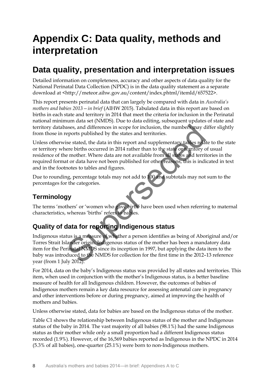# **Appendix C: Data quality, methods and interpretation**

# **Data quality, presentation and interpretation issues**

Detailed information on completeness, accuracy and other aspects of data quality for the National Perinatal Data Collection (NPDC) is in the data quality statement as a separate download at <http://meteor.aihw.gov.au/content/index.phtml/itemId/657522>.

This report presents perinatal data that can largely be compared with data in *Australia's mothers and babies 2013—in brief* (AIHW 2015). Tabulated data in this report are based on births in each state and territory in 2014 that meet the criteria for inclusion in the Perinatal national minimum data set (NMDS). Due to data editing, subsequent updates of state and territory databases, and differences in scope for inclusion, the numbers may differ slightly from those in reports published by the states and territories.

Unless otherwise stated, the data in this report and supplementary tables relate to the state or territory where births occurred in 2014 rather than to the state or territory of usual residence of the mother. Where data are not available from all states and territories in the required format or data have not been published for other reasons, this is indicated in text and in the footnotes to tables and figures. asses, and differences in scope for inclusion, the numbers may deports published by the states and territories.<br>
Sue stated, the data in this report and supplementary tables relations<br>
are births occurred in 2014 rather th

Due to rounding, percentage totals may not add to 100 and subtotals may not sum to the percentages for the categories.

# **Terminology**

The terms 'mothers' or 'women who gave birth' have been used when referring to maternal characteristics, whereas 'births' refers to babies.

# **Quality of data for reporting Indigenous status**

Indigenous status is a measure of whether a person identifies as being of Aboriginal and/or Torres Strait Islander origin. Indigenous status of the mother has been a mandatory data item for the Perinatal NMDS since its inception in 1997, but applying the data item to the baby was introduced to the NMDS for collection for the first time in the 2012–13 reference year (from 1 July 2012).

For 2014, data on the baby's Indigenous status was provided by all states and territories. This item, when used in conjunction with the mother's Indigenous status, is a better baseline measure of health for all Indigenous children. However, the outcomes of babies of Indigenous mothers remain a key data resource for assessing antenatal care in pregnancy and other interventions before or during pregnancy, aimed at improving the health of mothers and babies.

Unless otherwise stated, data for babies are based on the Indigenous status of the mother.

Table C1 shows the relationship between Indigenous status of the mother and Indigenous status of the baby in 2014. The vast majority of all babies (98.1%) had the same Indigenous status as their mother while only a small proportion had a different Indigenous status recorded (1.9%). However, of the 16,569 babies reported as Indigenous in the NPDC in 2014 (5.3% of all babies), one-quarter (25.1%) were born to non-Indigenous mothers.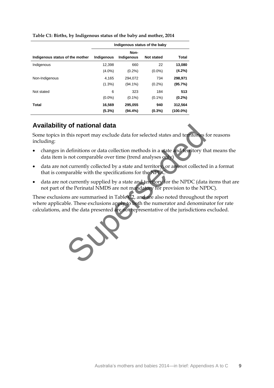|                                 | Indigenous status of the baby |                    |                   |              |
|---------------------------------|-------------------------------|--------------------|-------------------|--------------|
| Indigenous status of the mother | Indigenous                    | Non-<br>Indigenous | <b>Not stated</b> | <b>Total</b> |
|                                 |                               |                    |                   |              |
| Indigenous                      | 12,398                        | 660                | 22                | 13,080       |
|                                 | $(4.0\%)$                     | $(0.2\%)$          | $(0.0\%)$         | $(4.2\%)$    |
| Non-Indigenous                  | 4,165                         | 294,072            | 734               | 298,971      |
|                                 | $(1.3\%)$                     | $(94.1\%)$         | $(0.2\%)$         | (95.7%)      |
| Not stated                      | 6                             | 323                | 184               | 513          |
|                                 | $(0.0\%)$                     | $(0.1\%)$          | $(0.1\%)$         | $(0.2\%)$    |
| Total                           | 16,569                        | 295,055            | 940               | 312,564      |
|                                 | (5.3%)                        | (94.4%)            | $(0.3\%)$         | $(100.0\%)$  |

**Table C1: Births, by Indigenous status of the baby and mother, 2014** 

### **Availability of national data**

Some topics in this report may exclude data for selected states and territories for reasons including:

- changes in definitions or data collection methods in a state and territory that means the data item is not comparable over time (trend analyses only)
- data are not currently collected by a state and territory, or are not collected in a format that is comparable with the specifications for the NPDC
- data are not currently supplied by a state and territory for the NPDC (data items that are not part of the Perinatal NMDS are not mandatory for provision to the NPDC).

These exclusions are summarised in Table C2, and are also noted throughout the report where applicable. These exclusions apply to both the numerator and denominator for rate calculations, and the data presented are not representative of the jurisdictions excluded. This report may exclude data for selected states and territories<br>this report may exclude data for selected states and territory of<br>definitions or data collection methods in a state and territory the<br>sum of comparable over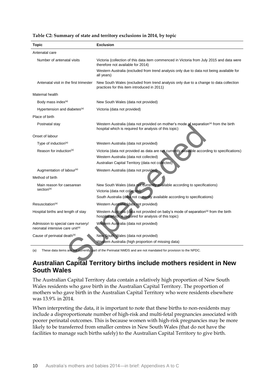| <b>Topic</b>                                                                      | <b>Exclusion</b>                                                                                                                                            |  |  |
|-----------------------------------------------------------------------------------|-------------------------------------------------------------------------------------------------------------------------------------------------------------|--|--|
| Antenatal care                                                                    |                                                                                                                                                             |  |  |
| Number of antenatal visits                                                        | Victoria (collection of this data item commenced in Victoria from July 2015 and data were<br>therefore not available for 2014)                              |  |  |
|                                                                                   | Western Australia (excluded from trend analysis only due to data not being available for<br>all years)                                                      |  |  |
| Antenatal visit in the first trimester                                            | New South Wales (excluded from trend analysis only due to a change to data collection<br>practices for this item introduced in 2011)                        |  |  |
| Maternal health                                                                   |                                                                                                                                                             |  |  |
| Body mass index <sup>(a)</sup>                                                    | New South Wales (data not provided)                                                                                                                         |  |  |
| Hypertension and diabetes <sup>(a)</sup>                                          | Victoria (data not provided)                                                                                                                                |  |  |
| Place of birth                                                                    |                                                                                                                                                             |  |  |
| Postnatal stay                                                                    | Western Australia (data not provided on mother's mode of separation <sup>(a)</sup> from the birth<br>hospital which is required for analysis of this topic) |  |  |
| Onset of labour                                                                   |                                                                                                                                                             |  |  |
| Type of induction <sup>(a)</sup>                                                  | Western Australia (data not provided)                                                                                                                       |  |  |
| Reason for induction <sup>(a)</sup>                                               | Victoria (data not provided as data are not currently available according to specifications)                                                                |  |  |
|                                                                                   | Western Australia (data not collected)                                                                                                                      |  |  |
|                                                                                   | Australian Capital Territory (data not collected)                                                                                                           |  |  |
| Augmentation of labour <sup>(a)</sup>                                             | Western Australia (data not provided)                                                                                                                       |  |  |
| Method of birth                                                                   |                                                                                                                                                             |  |  |
| Main reason for caesarean                                                         | New South Wales (data not currently available according to specifications)                                                                                  |  |  |
| section <sup>(a)</sup>                                                            | Victoria (data not collected)                                                                                                                               |  |  |
|                                                                                   | South Australia (data not currently available according to specifications)                                                                                  |  |  |
| Resuscitation <sup>(a)</sup>                                                      | Western Australia (data not provided)                                                                                                                       |  |  |
| Hospital births and length of stay                                                | Western Australia (data not provided on baby's mode of separation <sup>(a)</sup> from the birth<br>hospital which is required for analysis of this topic)   |  |  |
| Admission to special care nursery/<br>neonatal intensive care unit <sup>(a)</sup> | Western Australia (data not provided)                                                                                                                       |  |  |
| Cause of perinatal death(a)                                                       | New South Wales (data not provided)                                                                                                                         |  |  |
|                                                                                   | Western Australia (high proportion of missing data)                                                                                                         |  |  |
| (a)                                                                               | These data items are not currently part of the Perinatal NMDS and are not mandated for provision to the NPDC.                                               |  |  |
|                                                                                   |                                                                                                                                                             |  |  |
|                                                                                   | Australian Capital Territory births include mothers resident in New                                                                                         |  |  |

#### **Table C2: Summary of state and territory exclusions in 2014, by topic**

### **Australian Capital Territory births include mothers resident in New South Wales**

The Australian Capital Territory data contain a relatively high proportion of New South Wales residents who gave birth in the Australian Capital Territory. The proportion of mothers who gave birth in the Australian Capital Territory who were residents elsewhere was 13.9% in 2014.

When interpreting the data, it is important to note that these births to non-residents may include a disproportionate number of high-risk and multi-fetal pregnancies associated with poorer perinatal outcomes. This is because women with high-risk pregnancies may be more likely to be transferred from smaller centres in New South Wales (that do not have the facilities to manage such births safely) to the Australian Capital Territory to give birth.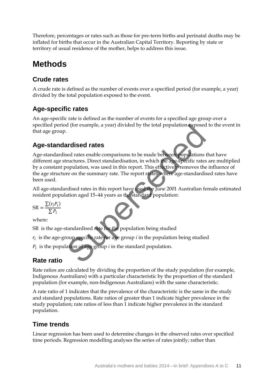Therefore, percentages or rates such as those for pre-term births and perinatal deaths may be inflated for births that occur in the Australian Capital Territory. Reporting by state or territory of usual residence of the mother, helps to address this issue.

# **Methods**

## **Crude rates**

A crude rate is defined as the number of events over a specified period (for example, a year) divided by the total population exposed to the event.

# **Age-specific rates**

An age-specific rate is defined as the number of events for a specified age group over a specified period (for example, a year) divided by the total population exposed to the event in that age group.

# **Age-standardised rates**

Age-standardised rates enable comparisons to be made between populations that have different age structures. Direct standardisation, in which the age-specific rates are multiplied by a constant population, was used in this report. This effectively removes the influence of the age structure on the summary rate. The report states where age-standardised rates have been used. d (for example, a year) divided by the total population exposed<br>
ardised rates<br>
ed rates<br>
ed rates<br>
ed rates<br>
comparisons to be made between populations<br>
ructures. Direct standardisation, in which the age-specific rates<br>
o

All age-standardised rates in this report have used the June 2001 Australian female estimated resident population aged 15–44 years as the standard population:

$$
SR = \frac{\sum (r_i P_i)}{\sum P_i}
$$

where:

SR is the age-standardised rate for the population being studied

 $r_i\,$  is the age-group specific rate for age group  $i$  in the population being studied

 $P_i$  is the population of age group *i* in the standard population.

# **Rate ratio**

Rate ratios are calculated by dividing the proportion of the study population (for example, Indigenous Australians) with a particular characteristic by the proportion of the standard population (for example, non-Indigenous Australians) with the same characteristic.

A rate ratio of 1 indicates that the prevalence of the characteristic is the same in the study and standard populations. Rate ratios of greater than 1 indicate higher prevalence in the study population; rate ratios of less than 1 indicate higher prevalence in the standard population.

## **Time trends**

Linear regression has been used to determine changes in the observed rates over specified time periods. Regression modelling analyses the series of rates jointly; rather than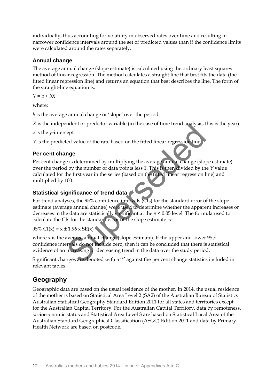individually, thus accounting for volatility in observed rates over time and resulting in narrower confidence intervals around the set of predicted values than if the confidence limits were calculated around the rates separately.

### **Annual change**

The average annual change (slope estimate) is calculated using the ordinary least squares method of linear regression. The method calculates a straight line that best fits the data (the fitted linear regression line) and returns an equation that best describes the line. The form of the straight-line equation is:

*Y = a + bX* 

where:

*b* is the average annual change or 'slope' over the period

*X* is the independent or predictor variable (in the case of time trend analysis, this is the year)

*a* is the y-intercept

*Y* is the predicted value of the rate based on the fitted linear regression line.

### **Per cent change**

Per cent change is determined by multiplying the average annual change (slope estimate) over the period by the number of data points less 1. This is then divided by the *Y* value calculated for the first year in the series (based on the fitted linear regression line) and multiplied by 100.

### **Statistical significance of trend data**

For trend analyses, the 95% confidence intervals (CIs) for the standard error of the slope estimate (average annual change) were used to determine whether the apparent increases or decreases in the data are statistically significant at the *p* < 0.05 level. The formula used to calculate the CIs for the standard error of the slope estimate is: Final control of the rate based on the fitted linear regression line<br> **nge**<br>
eighted value of the rate based on the fitted linear regression line<br> **nge**<br>
eighted with the first vear in the series (based on the fitted line

95% CI(x) =  $x \pm 1.96$  x SE(x)

where x is the average annual change (slope estimate). If the upper and lower 95% confidence intervals do not include zero, then it can be concluded that there is statistical evidence of an increasing or decreasing trend in the data over the study period.

Significant changes are denoted with a '\*' against the per cent change statistics included in relevant tables.

## **Geography**

Geographic data are based on the usual residence of the mother. In 2014, the usual residence of the mother is based on Statistical Area Level 2 (SA2) of the Australian Bureau of Statistics Australian Statistical Geography Standard Edition 2011 for all states and territories except for the Australian Capital Territory. For the Australian Capital Territory, data by remoteness, socioeconomic status and Statistical Area Level 3 are based on Statistical Local Area of the Australian Standard Geographical Classification (ASGC) Edition 2011 and data by Primary Health Network are based on postcode.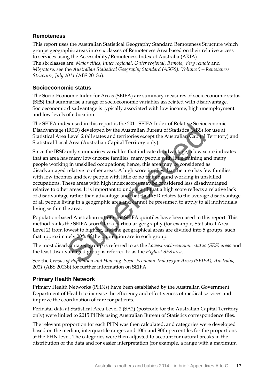### **Remoteness**

This report uses the Australian Statistical Geography Standard Remoteness Structure which groups geographic areas into six classes of Remoteness Area based on their relative access to services using the Accessibility/Remoteness Index of Australia (ARIA). The six classes are: *Major cities*, *Inner regional*, *Outer regional*, *Remote*, *Very remote* and *Migratory, s*ee the *Australian Statistical Geography Standard (ASGS): Volume 5—Remoteness Structure, July 2011* (ABS 2013a).

### **Socioeconomic status**

The Socio-Economic Index for Areas (SEIFA) are summary measures of socioeconomic status (SES) that summarise a range of socioeconomic variables associated with disadvantage. Socioeconomic disadvantage is typically associated with low income, high unemployment and low levels of education.

The SEIFA index used in this report is the 2011 SEIFA Index of Relative Socioeconomic Disadvantage (IRSD) developed by the Australian Bureau of Statistics (ABS) for use at Statistical Area Level 2 (all states and territories except the Australian Capital Territory) and Statistical Local Area (Australian Capital Territory only).

Since the IRSD only summarises variables that indicate disadvantage, a low score indicates that an area has many low-income families, many people with little training and many people working in unskilled occupations; hence, this area may be considered as disadvantaged relative to other areas. A high score implies that the area has few families with low incomes and few people with little or no training and working in unskilled occupations. These areas with high index scores may be considered less disadvantaged relative to other areas. It is important to understand that a high score reflects a relative lack of disadvantage rather than advantage and that the IRSD relates to the average disadvantage of all people living in a geographic area and cannot be presumed to apply to all individuals living within the area. Exact and thus tepoths is the Z011 SEFA multistrative SUCIDEN (IRSD) developed by the Australian Bureau of Statistics (ABS) [Level 2 (all states and territories except the Australian Capital I Area (Australian Capital I er

Population-based Australian cut-offs for SEIFA quintiles have been used in this report. This method ranks the SEIFA scores for a particular geography (for example, Statistical Area Level 2) from lowest to highest, and the geographical areas are divided into 5 groups, such that approximately 20% of the population are in each group.

The most disadvantaged group is referred to as the *Lowest socioeconomic status (SES) areas* and the least disadvantaged group is referred to as the *Highest SES areas*.

See the *Census of Population and Housing: Socio-Economic Indexes for Areas (SEIFA), Australia, 2011* (ABS 2013b) for further information on SEIFA.

### **Primary Health Network**

Primary Health Networks (PHNs) have been established by the Australian Government Department of Health to increase the efficiency and effectiveness of medical services and improve the coordination of care for patients.

Perinatal data at Statistical Area Level 2 (SA2) (postcode for the Australian Capital Territory only) were linked to 2015 PHNs using Australian Bureau of Statistics correspondence files.

The relevant proportion for each PHN was then calculated, and categories were developed based on the median, interquartile ranges and 10th and 90th percentiles for the proportions at the PHN level. The categories were then adjusted to account for natural breaks in the distribution of the data and for easier interpretation (for example, a range with a maximum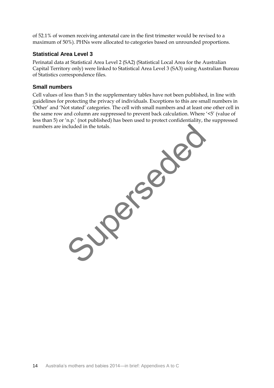of 52.1% of women receiving antenatal care in the first trimester would be revised to a maximum of 50%). PHNs were allocated to categories based on unrounded proportions.

### **Statistical Area Level 3**

Perinatal data at Statistical Area Level 2 (SA2) (Statistical Local Area for the Australian Capital Territory only) were linked to Statistical Area Level 3 (SA3) using Australian Bureau of Statistics correspondence files.

### **Small numbers**

Cell values of less than 5 in the supplementary tables have not been published, in line with guidelines for protecting the privacy of individuals. Exceptions to this are small numbers in 'Other' and 'Not stated' categories. The cell with small numbers and at least one other cell in the same row and column are suppressed to prevent back calculation. Where '<5' (value of less than 5) or 'n.p.' (not published) has been used to protect confidentiality, the suppressed numbers are included in the totals.

Supersede